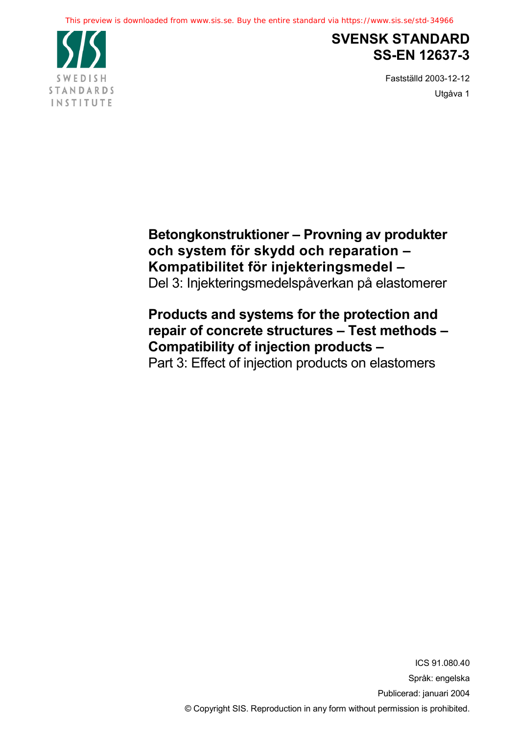

# **SVENSK STANDARD SS-EN 12637-3**

Fastställd 2003-12-12 Utgåva 1

**Betongkonstruktioner – Provning av produkter och system för skydd och reparation – Kompatibilitet för injekteringsmedel –** Del 3: Injekteringsmedelspåverkan på elastomerer

# **Products and systems for the protection and repair of concrete structures – Test methods – Compatibility of injection products –**

Part 3: Effect of injection products on elastomers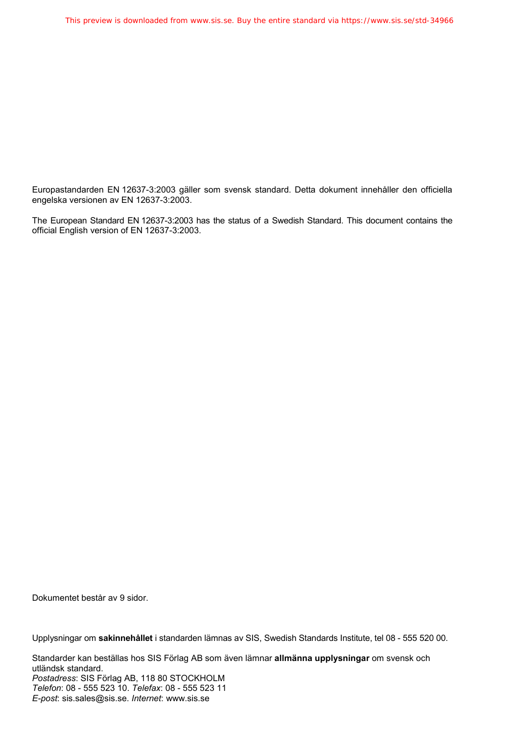Europastandarden EN 12637-3:2003 gäller som svensk standard. Detta dokument innehåller den officiella engelska versionen av EN 12637-3:2003.

The European Standard EN 12637-3:2003 has the status of a Swedish Standard. This document contains the official English version of EN 12637-3:2003.

Dokumentet består av 9 sidor.

Upplysningar om **sakinnehållet** i standarden lämnas av SIS, Swedish Standards Institute, tel 08 - 555 520 00.

Standarder kan beställas hos SIS Förlag AB som även lämnar **allmänna upplysningar** om svensk och utländsk standard. *Postadress*: SIS Förlag AB, 118 80 STOCKHOLM *Telefon*: 08 - 555 523 10. *Telefax*: 08 - 555 523 11 *E-post*: sis.sales@sis.se. *Internet*: www.sis.se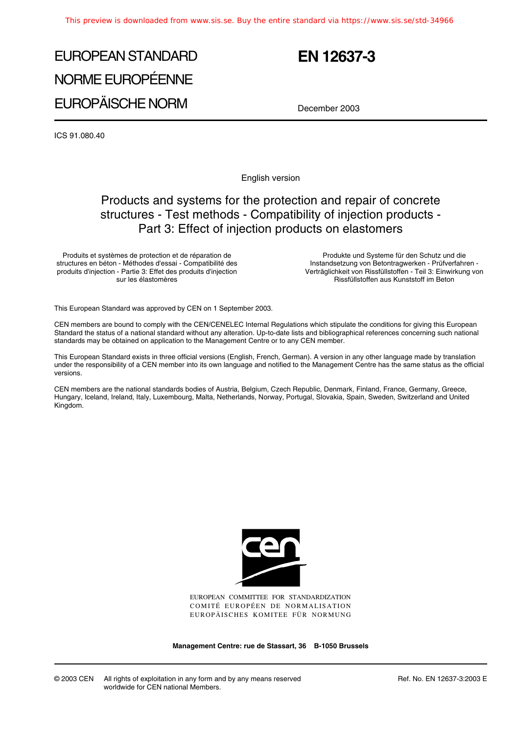# EUROPEAN STANDARD NORME EUROPÉENNE EUROPÄISCHE NORM

# **EN 12637-3**

December 2003

ICS 91.080.40

English version

### Products and systems for the protection and repair of concrete structures - Test methods - Compatibility of injection products - Part 3: Effect of injection products on elastomers

Produits et systèmes de protection et de réparation de structures en béton - Méthodes d'essai - Compatibilité des produits d'injection - Partie 3: Effet des produits d'injection sur les élastomères

Produkte und Systeme für den Schutz und die Instandsetzung von Betontragwerken - Prüfverfahren - Verträglichkeit von Rissfüllstoffen - Teil 3: Einwirkung von Rissfüllstoffen aus Kunststoff im Beton

This European Standard was approved by CEN on 1 September 2003.

CEN members are bound to comply with the CEN/CENELEC Internal Regulations which stipulate the conditions for giving this European Standard the status of a national standard without any alteration. Up-to-date lists and bibliographical references concerning such national standards may be obtained on application to the Management Centre or to any CEN member.

This European Standard exists in three official versions (English, French, German). A version in any other language made by translation under the responsibility of a CEN member into its own language and notified to the Management Centre has the same status as the official versions.

CEN members are the national standards bodies of Austria, Belgium, Czech Republic, Denmark, Finland, France, Germany, Greece, Hungary, Iceland, Ireland, Italy, Luxembourg, Malta, Netherlands, Norway, Portugal, Slovakia, Spain, Sweden, Switzerland and United Kingdom.



EUROPEAN COMMITTEE FOR STANDARDIZATION COMITÉ EUROPÉEN DE NORMALISATION EUROPÄISCHES KOMITEE FÜR NORMUNG

**Management Centre: rue de Stassart, 36 B-1050 Brussels**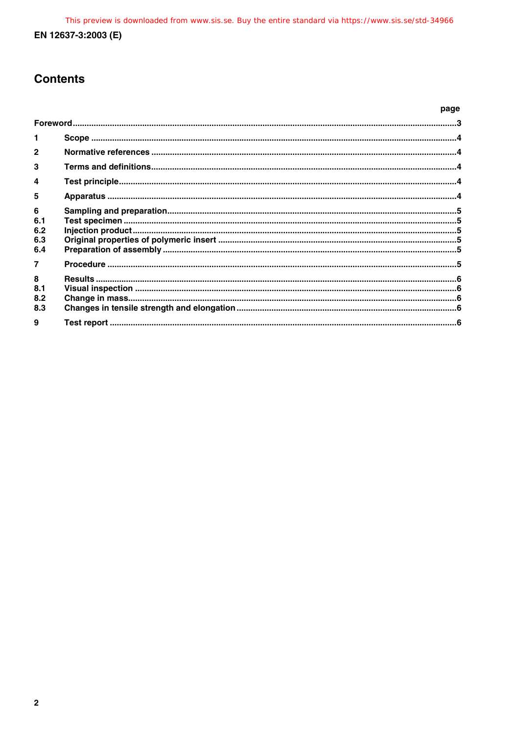### **Contents**

|                               | page |  |
|-------------------------------|------|--|
|                               |      |  |
| 1                             |      |  |
| $\mathbf{c}$                  |      |  |
| 3                             |      |  |
| 4                             |      |  |
| 5                             |      |  |
| 6<br>6.1<br>6.2<br>6.3<br>6.4 |      |  |
|                               |      |  |
| 8<br>8.1<br>8.2<br>8.3        |      |  |
| 9                             |      |  |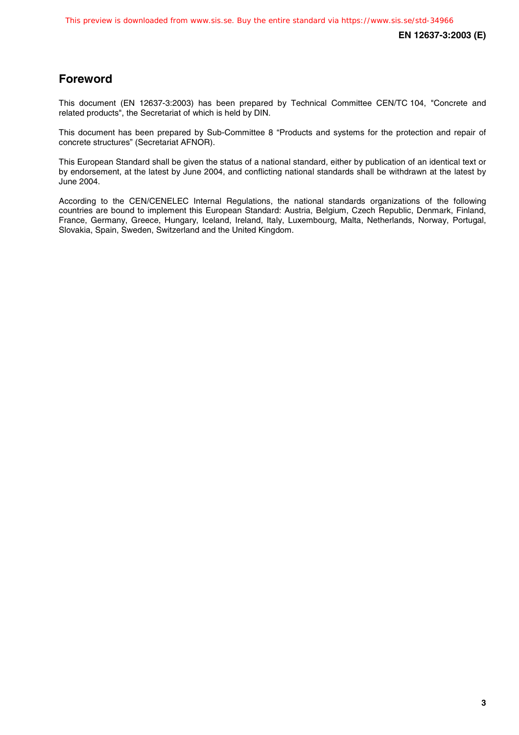### **Foreword**

This document (EN 12637-3:2003) has been prepared by Technical Committee CEN/TC 104, "Concrete and related products", the Secretariat of which is held by DIN.

This document has been prepared by Sub-Committee 8 "Products and systems for the protection and repair of concrete structures" (Secretariat AFNOR).

This European Standard shall be given the status of a national standard, either by publication of an identical text or by endorsement, at the latest by June 2004, and conflicting national standards shall be withdrawn at the latest by June 2004.

According to the CEN/CENELEC Internal Regulations, the national standards organizations of the following countries are bound to implement this European Standard: Austria, Belgium, Czech Republic, Denmark, Finland, France, Germany, Greece, Hungary, Iceland, Ireland, Italy, Luxembourg, Malta, Netherlands, Norway, Portugal, Slovakia, Spain, Sweden, Switzerland and the United Kingdom.